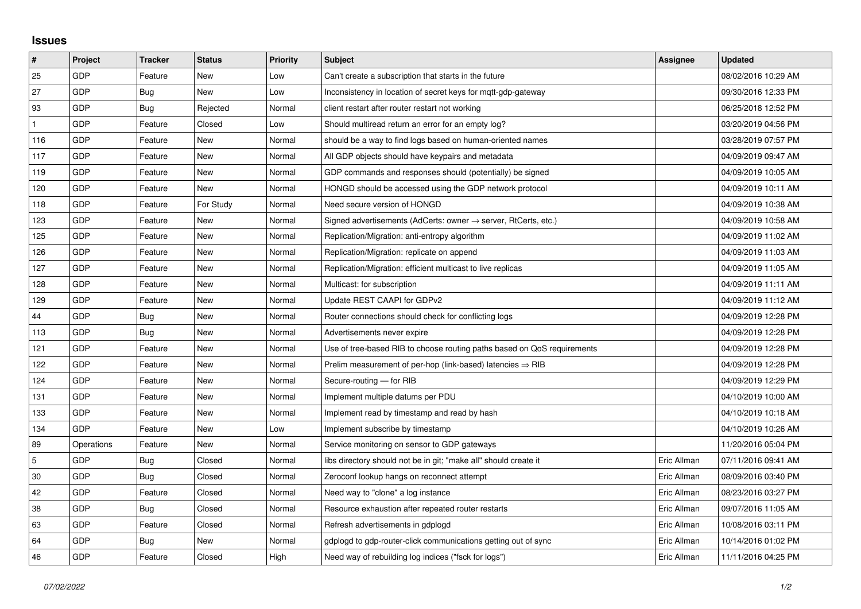## **Issues**

| #   | Project    | <b>Tracker</b> | <b>Status</b> | <b>Priority</b> | <b>Subject</b>                                                             | Assignee    | <b>Updated</b>      |
|-----|------------|----------------|---------------|-----------------|----------------------------------------------------------------------------|-------------|---------------------|
| 25  | GDP        | Feature        | New           | Low             | Can't create a subscription that starts in the future                      |             | 08/02/2016 10:29 AM |
| 27  | GDP        | Bug            | New           | Low             | Inconsistency in location of secret keys for mqtt-gdp-gateway              |             | 09/30/2016 12:33 PM |
| 93  | GDP        | <b>Bug</b>     | Rejected      | Normal          | client restart after router restart not working                            |             | 06/25/2018 12:52 PM |
|     | GDP        | Feature        | Closed        | Low             | Should multiread return an error for an empty log?                         |             | 03/20/2019 04:56 PM |
| 116 | GDP        | Feature        | <b>New</b>    | Normal          | should be a way to find logs based on human-oriented names                 |             | 03/28/2019 07:57 PM |
| 117 | <b>GDP</b> | Feature        | New           | Normal          | All GDP objects should have keypairs and metadata                          |             | 04/09/2019 09:47 AM |
| 119 | GDP        | Feature        | <b>New</b>    | Normal          | GDP commands and responses should (potentially) be signed                  |             | 04/09/2019 10:05 AM |
| 120 | GDP        | Feature        | New           | Normal          | HONGD should be accessed using the GDP network protocol                    |             | 04/09/2019 10:11 AM |
| 118 | GDP        | Feature        | For Study     | Normal          | Need secure version of HONGD                                               |             | 04/09/2019 10:38 AM |
| 123 | GDP        | Feature        | <b>New</b>    | Normal          | Signed advertisements (AdCerts: owner $\rightarrow$ server, RtCerts, etc.) |             | 04/09/2019 10:58 AM |
| 125 | GDP        | Feature        | New           | Normal          | Replication/Migration: anti-entropy algorithm                              |             | 04/09/2019 11:02 AM |
| 126 | GDP        | Feature        | New           | Normal          | Replication/Migration: replicate on append                                 |             | 04/09/2019 11:03 AM |
| 127 | GDP        | Feature        | <b>New</b>    | Normal          | Replication/Migration: efficient multicast to live replicas                |             | 04/09/2019 11:05 AM |
| 128 | GDP        | Feature        | New           | Normal          | Multicast: for subscription                                                |             | 04/09/2019 11:11 AM |
| 129 | GDP        | Feature        | New           | Normal          | Update REST CAAPI for GDPv2                                                |             | 04/09/2019 11:12 AM |
| 44  | GDP        | Bug            | New           | Normal          | Router connections should check for conflicting logs                       |             | 04/09/2019 12:28 PM |
| 113 | GDP        | <b>Bug</b>     | New           | Normal          | Advertisements never expire                                                |             | 04/09/2019 12:28 PM |
| 121 | GDP        | Feature        | New           | Normal          | Use of tree-based RIB to choose routing paths based on QoS requirements    |             | 04/09/2019 12:28 PM |
| 122 | GDP        | Feature        | <b>New</b>    | Normal          | Prelim measurement of per-hop (link-based) latencies $\Rightarrow$ RIB     |             | 04/09/2019 12:28 PM |
| 124 | <b>GDP</b> | Feature        | New           | Normal          | Secure-routing - for RIB                                                   |             | 04/09/2019 12:29 PM |
| 131 | GDP        | Feature        | New           | Normal          | Implement multiple datums per PDU                                          |             | 04/10/2019 10:00 AM |
| 133 | GDP        | Feature        | <b>New</b>    | Normal          | Implement read by timestamp and read by hash                               |             | 04/10/2019 10:18 AM |
| 134 | GDP        | Feature        | New           | Low             | Implement subscribe by timestamp                                           |             | 04/10/2019 10:26 AM |
| 89  | Operations | Feature        | <b>New</b>    | Normal          | Service monitoring on sensor to GDP gateways                               |             | 11/20/2016 05:04 PM |
| 5   | GDP        | Bug            | Closed        | Normal          | libs directory should not be in git; "make all" should create it           | Eric Allman | 07/11/2016 09:41 AM |
| 30  | GDP        | Bug            | Closed        | Normal          | Zeroconf lookup hangs on reconnect attempt                                 | Eric Allman | 08/09/2016 03:40 PM |
| 42  | GDP        | Feature        | Closed        | Normal          | Need way to "clone" a log instance                                         | Eric Allman | 08/23/2016 03:27 PM |
| 38  | GDP        | Bug            | Closed        | Normal          | Resource exhaustion after repeated router restarts                         | Eric Allman | 09/07/2016 11:05 AM |
| 63  | GDP        | Feature        | Closed        | Normal          | Refresh advertisements in gdplogd                                          | Eric Allman | 10/08/2016 03:11 PM |
| 64  | GDP        | Bug            | New           | Normal          | gdplogd to gdp-router-click communications getting out of sync             | Eric Allman | 10/14/2016 01:02 PM |
| 46  | GDP        | Feature        | Closed        | High            | Need way of rebuilding log indices ("fsck for logs")                       | Eric Allman | 11/11/2016 04:25 PM |